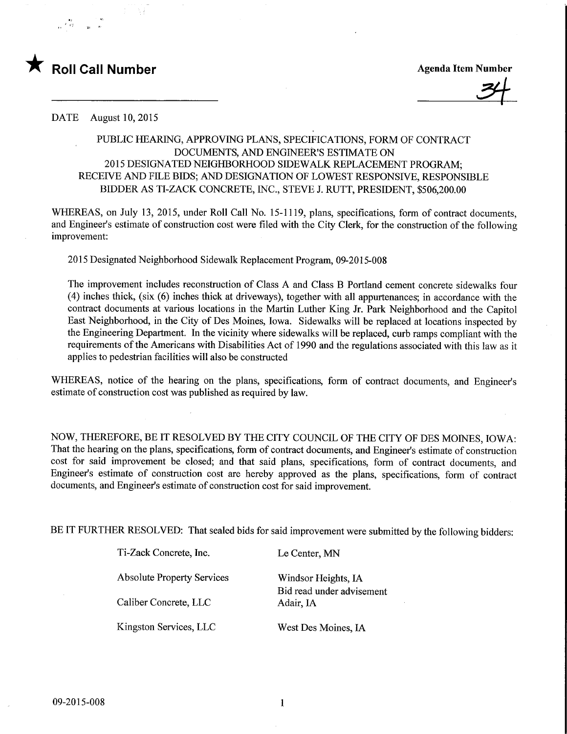

34

DATE August 10, 2015

## PUBLIC HEARING, APPROVING PLANS, SPECIFICATIONS, FORM OF CONTRACT DOCUMENTS, AND ENGINEER'S ESTIMATE ON 2015 DESIGNATED NEIGHBORHOOD SIDEWALK REPLACEMENT PROGRAM; RECEIVE AND FILE BIDS; AND DESIGNATION OF LOWEST RESPONSWE, RESPONSIBLE BIDDER AS TI-ZACK CONCRETE, INC., STEVE J. RUTT, PRESIDENT, \$506,200.00

WHEREAS, on July 13, 2015, under Roll Call No. 15-1119, plans, specifications, form of contract documents, and Engineer's estimate of construction cost were filed with the City Clerk, for the construction of the following improvement:

2015 Designated Neighborhood Sidewalk Replacement Program, 09-2015-008

The improvement includes reconstruction of Class A and Class B Portland cement concrete sidewalks four (4) inches thick, (six (6) inches thick at driveways), together with all appurtenances; in accordance with the contract documents at various locations in the Martin Luther King Jr. Park Neighborhood and the Capitol East Neighborhood, in the City of Des Moines, Iowa. Sidewalks will be replaced at locations inspected by the Engineering Department. In the vicinity where sidewalks will be replaced, curb ramps compliant with the requirements of the Americans with Disabilities Act of 1990 and the regulations associated with this law as it applies to pedestrian facilities will also be constructed

WHEREAS, notice of the hearing on the plans, specifications, form of contract documents, and Engineer's estimate of construction cost was published as required by law.

NOW, THEREFORE, BE IT RESOLVED BY THE CITY COUNCIL OF THE CITY OF DES MOINES, IOWA: That the hearing on the plans, specifications, form of contract documents, and Engineer's estimate of construction cost for said improvement be closed; and that said plans, specifications, form of contract documents, and Engineer's estimate of construction cost are hereby approved as the plans, specifications, form of contract documents, and Engineer's estimate of construction cost for said improvement.

BE IT FURTHER RESOLVED: That sealed bids for said improvement were submitted by the following bidders:

Ti-Zack Concrete, Inc. Le Center, MN

Absolute Property Services Windsor Heights, IA

Caliber Concrete, LLC Adair, IA

Kingston Services, LLC West Des Moines, IA

Bid read under advisement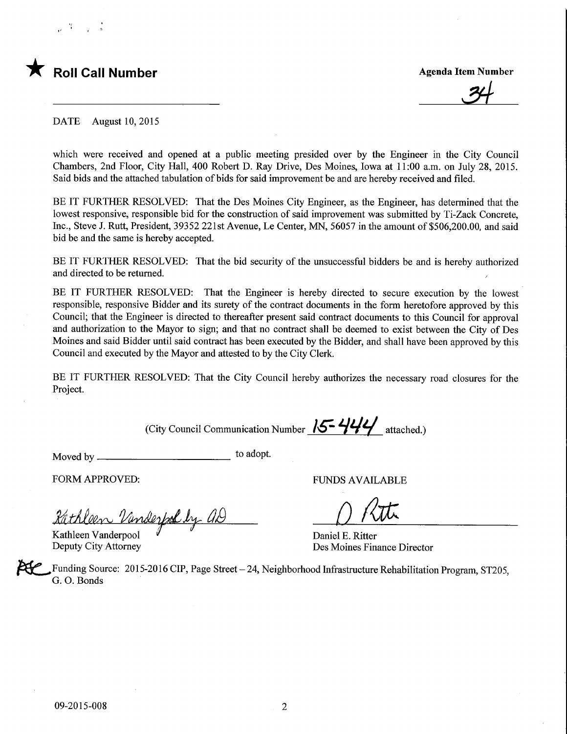## **Roll Call Number**

**Agenda Item Number** 

DATE August 10, 2015

which were received and opened at a public meeting presided over by the Engineer in the City Council Chambers, 2nd Floor, City Hall, 400 Robert D. Ray Drive, Des Moines, Iowa at 11:00 a.m. on July 28, 2015. Said bids and the attached tabulation of bids for said improvement be and are hereby received and filed.

BE IT FURTHER RESOLVED: That the Des Moines City Engineer, as the Engineer, has determined that the lowest responsive, responsible bid for the construction of said improvement was submitted by Ti-Zack Concrete, Inc., Steve J. Rutt, President, 39352 221st Avenue, Le Center, MN, 56057 in the amount of \$506,200.00, and said bid be and the same is hereby accepted.

BE IT FURTHER RESOLVED: That the bid security of the unsuccessful bidders be and is hereby authorized and directed to be returned.

BE IT FURTHER RESOLVED: That the Engineer is hereby directed to secure execution by the lowest responsible, responsive Bidder and its surety of the contract documents in the form heretofore approved by this Council; that the Engineer is directed to thereafter present said contract documents to this Council for approval and authorization to the Mayor to sign; and that no contract shall be deemed to exist between the City of Des Moines and said Bidder until said contract has been executed by the Bidder, and shall have been approved by this Council and executed by the Mayor and attested to by the City Clerk.

BE IT FURTHER RESOLVED: That the City Council hereby authorizes the necessary road closures for the Project.

(City Council Communication Number  $15 - 444$  attached.)

Moved by  $\frac{1}{2}$  to adopt.

FORM APPROVED: THE RESERVED OF THE RESERVED FUNDS AVAILABLE

Rathleen Vanderfool by al

Kathleen Vanderpool  $\overline{a}$ 

Kathleen Vanderpool  $\overline{V}$  Daniel E. Ritter<br>Deputy City Attorney Des Moines Finance Director

Funding Source: 2015-2016 CIP, Page Street  $-24$ , Neighborhood Infrastructure Rehabilitation Program, ST205, G. 0. Bonds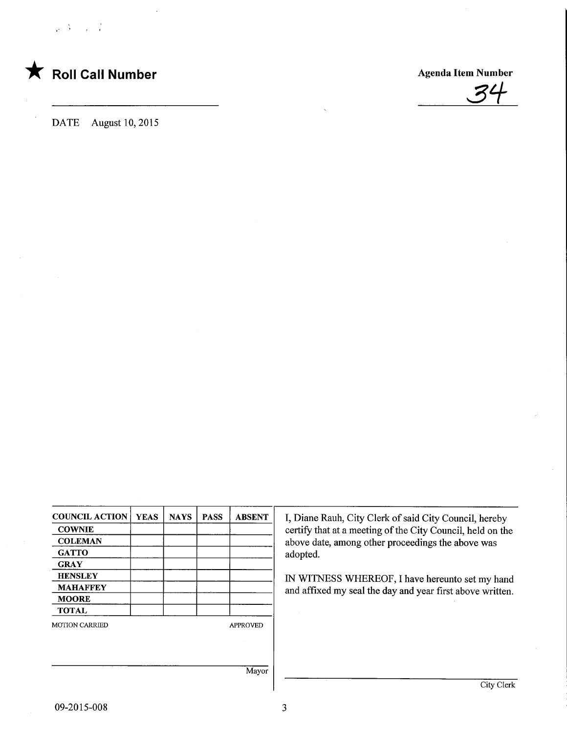

DATE August 10, 2015

**Agenda Item Number** 

| <b>COUNCIL ACTION</b> | <b>YEAS</b> | <b>NAYS</b> | <b>PASS</b> | <b>ABSENT</b>   |
|-----------------------|-------------|-------------|-------------|-----------------|
| <b>COWNIE</b>         |             |             |             |                 |
| <b>COLEMAN</b>        |             |             |             |                 |
| <b>GATTO</b>          |             |             |             |                 |
| <b>GRAY</b>           |             |             |             |                 |
| <b>HENSLEY</b>        |             |             |             |                 |
| <b>MAHAFFEY</b>       |             |             |             |                 |
| <b>MOORE</b>          |             |             |             |                 |
| <b>TOTAL</b>          |             |             |             |                 |
| <b>MOTION CARRIED</b> |             |             |             | <b>APPROVED</b> |
|                       |             |             |             |                 |
|                       |             |             |             |                 |
|                       |             |             |             |                 |
|                       |             |             |             | Mayor           |

I, Diane Rauh, City Clerk of said City Council, hereby certify that at a meeting of the City Council, held on the above date, among other proceedings the above was adopted.

IN WITNESS WHEREOF, I have hereunto set my hand and affixed my seal the day and year first above written.